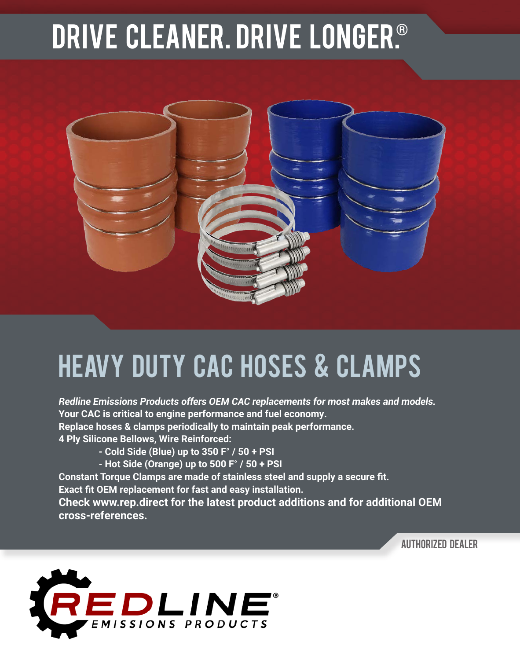## DRIVE CLEANER. Drive longER.®



## HEAVY DUTY cAC HOSES & CLAMPS

*Redline Emissions Products offers OEM CAC replacements for most makes and models.* **Your CAC is critical to engine performance and fuel economy. Replace hoses & clamps periodically to maintain peak performance. 4 Ply Silicone Bellows, Wire Reinforced:**

**- Cold Side (Blue) up to 350 F**° **/ 50 + PSI**

**- Hot Side (Orange) up to 500 F**° **/ 50 + PSI**

**Constant Torque Clamps are made of stainless steel and supply a secure fit.** 

**Exact fit OEM replacement for fast and easy installation.**

**Check www.rep.direct for the latest product additions and for additional OEM cross-references.**